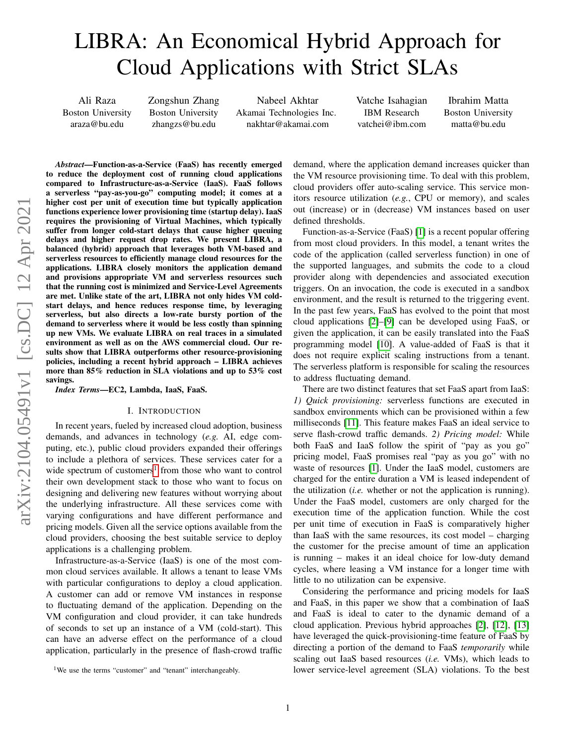# LIBRA: An Economical Hybrid Approach for Cloud Applications with Strict SLAs

Ali Raza Boston University araza@bu.edu

Zongshun Zhang Boston University zhangzs@bu.edu

Nabeel Akhtar Akamai Technologies Inc. nakhtar@akamai.com

Vatche Isahagian IBM Research vatchei@ibm.com

Ibrahim Matta Boston University matta@bu.edu

*Abstract*—Function-as-a-Service (FaaS) has recently emerged to reduce the deployment cost of running cloud applications compared to Infrastructure-as-a-Service (IaaS). FaaS follows a serverless "pay-as-you-go" computing model; it comes at a higher cost per unit of execution time but typically application functions experience lower provisioning time (startup delay). IaaS requires the provisioning of Virtual Machines, which typically suffer from longer cold-start delays that cause higher queuing delays and higher request drop rates. We present LIBRA, a balanced (hybrid) approach that leverages both VM-based and serverless resources to efficiently manage cloud resources for the applications. LIBRA closely monitors the application demand and provisions appropriate VM and serverless resources such that the running cost is minimized and Service-Level Agreements are met. Unlike state of the art, LIBRA not only hides VM coldstart delays, and hence reduces response time, by leveraging serverless, but also directs a low-rate bursty portion of the demand to serverless where it would be less costly than spinning up new VMs. We evaluate LIBRA on real traces in a simulated environment as well as on the AWS commercial cloud. Our results show that LIBRA outperforms other resource-provisioning policies, including a recent hybrid approach – LIBRA achieves more than 85% reduction in SLA violations and up to 53% cost savings.

*Index Terms*—EC2, Lambda, IaaS, FaaS.

#### I. INTRODUCTION

In recent years, fueled by increased cloud adoption, business demands, and advances in technology (*e.g.* AI, edge computing, etc.), public cloud providers expanded their offerings to include a plethora of services. These services cater for a wide spectrum of customers<sup>[1](#page-0-0)</sup> from those who want to control their own development stack to those who want to focus on designing and delivering new features without worrying about the underlying infrastructure. All these services come with varying configurations and have different performance and pricing models. Given all the service options available from the cloud providers, choosing the best suitable service to deploy applications is a challenging problem.

Infrastructure-as-a-Service (IaaS) is one of the most common cloud services available. It allows a tenant to lease VMs with particular configurations to deploy a cloud application. A customer can add or remove VM instances in response to fluctuating demand of the application. Depending on the VM configuration and cloud provider, it can take hundreds of seconds to set up an instance of a VM (cold-start). This can have an adverse effect on the performance of a cloud application, particularly in the presence of flash-crowd traffic demand, where the application demand increases quicker than the VM resource provisioning time. To deal with this problem, cloud providers offer auto-scaling service. This service monitors resource utilization (*e.g.*, CPU or memory), and scales out (increase) or in (decrease) VM instances based on user defined thresholds.

Function-as-a-Service (FaaS) [\[1\]](#page-10-0) is a recent popular offering from most cloud providers. In this model, a tenant writes the code of the application (called serverless function) in one of the supported languages, and submits the code to a cloud provider along with dependencies and associated execution triggers. On an invocation, the code is executed in a sandbox environment, and the result is returned to the triggering event. In the past few years, FaaS has evolved to the point that most cloud applications [\[2\]](#page-10-1)–[\[9\]](#page-10-2) can be developed using FaaS, or given the application, it can be easily translated into the FaaS programming model [\[10\]](#page-10-3). A value-added of FaaS is that it does not require explicit scaling instructions from a tenant. The serverless platform is responsible for scaling the resources to address fluctuating demand.

There are two distinct features that set FaaS apart from IaaS: *1) Quick provisioning:* serverless functions are executed in sandbox environments which can be provisioned within a few milliseconds [\[11\]](#page-10-4). This feature makes FaaS an ideal service to serve flash-crowd traffic demands. *2) Pricing model:* While both FaaS and IaaS follow the spirit of "pay as you go" pricing model, FaaS promises real "pay as you go" with no waste of resources [\[1\]](#page-10-0). Under the IaaS model, customers are charged for the entire duration a VM is leased independent of the utilization (*i.e.* whether or not the application is running). Under the FaaS model, customers are only charged for the execution time of the application function. While the cost per unit time of execution in FaaS is comparatively higher than IaaS with the same resources, its cost model – charging the customer for the precise amount of time an application is running – makes it an ideal choice for low-duty demand cycles, where leasing a VM instance for a longer time with little to no utilization can be expensive.

Considering the performance and pricing models for IaaS and FaaS, in this paper we show that a combination of IaaS and FaaS is ideal to cater to the dynamic demand of a cloud application. Previous hybrid approaches [\[2\]](#page-10-1), [\[12\]](#page-10-5), [\[13\]](#page-10-6) have leveraged the quick-provisioning-time feature of FaaS by directing a portion of the demand to FaaS *temporarily* while scaling out IaaS based resources (*i.e.* VMs), which leads to lower service-level agreement (SLA) violations. To the best

<span id="page-0-0"></span><sup>&</sup>lt;sup>1</sup>We use the terms "customer" and "tenant" interchangeably.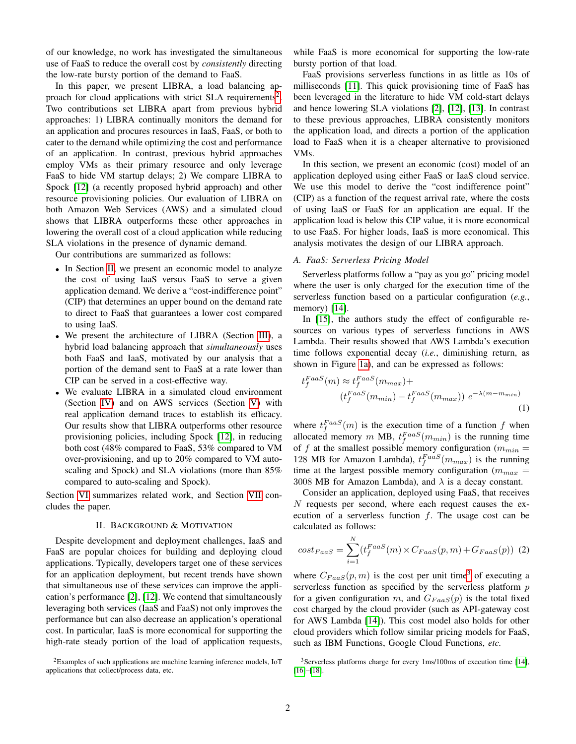of our knowledge, no work has investigated the simultaneous use of FaaS to reduce the overall cost by *consistently* directing the low-rate bursty portion of the demand to FaaS.

In this paper, we present LIBRA, a load balancing ap-proach for cloud applications with strict SLA requirements<sup>[2](#page-1-0)</sup>. Two contributions set LIBRA apart from previous hybrid approaches: 1) LIBRA continually monitors the demand for an application and procures resources in IaaS, FaaS, or both to cater to the demand while optimizing the cost and performance of an application. In contrast, previous hybrid approaches employ VMs as their primary resource and only leverage FaaS to hide VM startup delays; 2) We compare LIBRA to Spock [\[12\]](#page-10-5) (a recently proposed hybrid approach) and other resource provisioning policies. Our evaluation of LIBRA on both Amazon Web Services (AWS) and a simulated cloud shows that LIBRA outperforms these other approaches in lowering the overall cost of a cloud application while reducing SLA violations in the presence of dynamic demand.

Our contributions are summarized as follows:

- In Section [II,](#page-1-1) we present an economic model to analyze the cost of using IaaS versus FaaS to serve a given application demand. We derive a "cost-indifference point" (CIP) that determines an upper bound on the demand rate to direct to FaaS that guarantees a lower cost compared to using IaaS.
- We present the architecture of LIBRA (Section [III\)](#page-3-0), a hybrid load balancing approach that *simultaneously* uses both FaaS and IaaS, motivated by our analysis that a portion of the demand sent to FaaS at a rate lower than CIP can be served in a cost-effective way.
- We evaluate LIBRA in a simulated cloud environment (Section [IV\)](#page-5-0) and on AWS services (Section [V\)](#page-8-0) with real application demand traces to establish its efficacy. Our results show that LIBRA outperforms other resource provisioning policies, including Spock [\[12\]](#page-10-5), in reducing both cost (48% compared to FaaS, 53% compared to VM over-provisioning, and up to 20% compared to VM autoscaling and Spock) and SLA violations (more than 85% compared to auto-scaling and Spock).

Section [VI](#page-9-0) summarizes related work, and Section [VII](#page-9-1) concludes the paper.

#### II. BACKGROUND & MOTIVATION

<span id="page-1-1"></span>Despite development and deployment challenges, IaaS and FaaS are popular choices for building and deploying cloud applications. Typically, developers target one of these services for an application deployment, but recent trends have shown that simultaneous use of these services can improve the application's performance [\[2\]](#page-10-1), [\[12\]](#page-10-5). We contend that simultaneously leveraging both services (IaaS and FaaS) not only improves the performance but can also decrease an application's operational cost. In particular, IaaS is more economical for supporting the high-rate steady portion of the load of application requests,

<span id="page-1-0"></span> ${}^{2}$ Examples of such applications are machine learning inference models, IoT applications that collect/process data, etc.

while FaaS is more economical for supporting the low-rate bursty portion of that load.

FaaS provisions serverless functions in as little as 10s of milliseconds [\[11\]](#page-10-4). This quick provisioning time of FaaS has been leveraged in the literature to hide VM cold-start delays and hence lowering SLA violations [\[2\]](#page-10-1), [\[12\]](#page-10-5), [\[13\]](#page-10-6). In contrast to these previous approaches, LIBRA consistently monitors the application load, and directs a portion of the application load to FaaS when it is a cheaper alternative to provisioned VMs.

In this section, we present an economic (cost) model of an application deployed using either FaaS or IaaS cloud service. We use this model to derive the "cost indifference point" (CIP) as a function of the request arrival rate, where the costs of using IaaS or FaaS for an application are equal. If the application load is below this CIP value, it is more economical to use FaaS. For higher loads, IaaS is more economical. This analysis motivates the design of our LIBRA approach.

#### *A. FaaS: Serverless Pricing Model*

Serverless platforms follow a "pay as you go" pricing model where the user is only charged for the execution time of the serverless function based on a particular configuration (*e.g.*, memory) [\[14\]](#page-10-7).

In [\[15\]](#page-10-8), the authors study the effect of configurable resources on various types of serverless functions in AWS Lambda. Their results showed that AWS Lambda's execution time follows exponential decay (*i.e.*, diminishing return, as shown in Figure [1a\)](#page-2-0), and can be expressed as follows:

<span id="page-1-4"></span>
$$
t_f^{Faas}(m) \approx t_f^{Faas}(m_{max}) +
$$
  
\n
$$
(t_f^{Faas}(m_{min}) - t_f^{Faas}(m_{max})) e^{-\lambda(m - m_{min})}
$$
\n(1)

where  $t_f^{Faas}(m)$  is the execution time of a function f when allocated memory m MB,  $t_f^{FaaS}(m_{min})$  is the running time of f at the smallest possible memory configuration ( $m_{min} =$ 128 MB for Amazon Lambda),  $t_f^{FaaS}(m_{max})$  is the running time at the largest possible memory configuration ( $m_{max}$  = 3008 MB for Amazon Lambda), and  $\lambda$  is a decay constant.

Consider an application, deployed using FaaS, that receives N requests per second, where each request causes the execution of a serverless function  $f$ . The usage cost can be calculated as follows:

<span id="page-1-3"></span>
$$
cost_{Faas} = \sum_{i=1}^{N} (t_f^{Faas}(m) \times C_{Faas}(p, m) + G_{Faas}(p))
$$
 (2)

where  $C_{Faas}(p, m)$  is the cost per unit time<sup>[3](#page-1-2)</sup> of executing a serverless function as specified by the serverless platform  $p$ for a given configuration m, and  $G_{FaaS}(p)$  is the total fixed cost charged by the cloud provider (such as API-gateway cost for AWS Lambda [\[14\]](#page-10-7)). This cost model also holds for other cloud providers which follow similar pricing models for FaaS, such as IBM Functions, Google Cloud Functions, *etc.*

<span id="page-1-2"></span><sup>3</sup>Serverless platforms charge for every 1ms/100ms of execution time [\[14\]](#page-10-7), [\[16\]](#page-10-9)–[\[18\]](#page-10-10).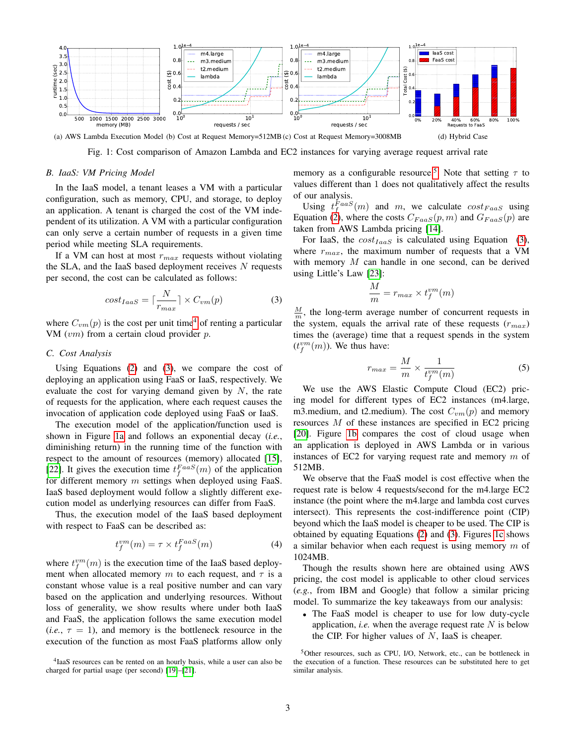<span id="page-2-0"></span>

(a) AWS Lambda Execution Model (b) Cost at Request Memory=512MB (c) Cost at Request Memory=3008MB (d) Hybrid Case

<span id="page-2-4"></span>Fig. 1: Cost comparison of Amazon Lambda and EC2 instances for varying average request arrival rate

#### *B. IaaS: VM Pricing Model*

In the IaaS model, a tenant leases a VM with a particular configuration, such as memory, CPU, and storage, to deploy an application. A tenant is charged the cost of the VM independent of its utilization. A VM with a particular configuration can only serve a certain number of requests in a given time period while meeting SLA requirements.

If a VM can host at most  $r_{max}$  requests without violating the SLA, and the IaaS based deployment receives  $N$  requests per second, the cost can be calculated as follows:

<span id="page-2-2"></span>
$$
cost_{IaaS} = \lceil \frac{N}{r_{max}} \rceil \times C_{vm}(p)
$$
 (3)

where  $C_{vm}(p)$  is the cost per unit time<sup>[4](#page-2-1)</sup> of renting a particular VM  $(vm)$  from a certain cloud provider  $p$ .

#### <span id="page-2-6"></span>*C. Cost Analysis*

Using Equations [\(2\)](#page-1-3) and [\(3\)](#page-2-2), we compare the cost of deploying an application using FaaS or IaaS, respectively. We evaluate the cost for varying demand given by  $N$ , the rate of requests for the application, where each request causes the invocation of application code deployed using FaaS or IaaS.

The execution model of the application/function used is shown in Figure [1a](#page-2-0) and follows an exponential decay (*i.e.*, diminishing return) in the running time of the function with respect to the amount of resources (memory) allocated [\[15\]](#page-10-8), [\[22\]](#page-10-11). It gives the execution time  $t_f^{Faas}(m)$  of the application for different memory  $m$  settings when deployed using FaaS. IaaS based deployment would follow a slightly different execution model as underlying resources can differ from FaaS.

Thus, the execution model of the IaaS based deployment with respect to FaaS can be described as:

$$
t_f^{vm}(m) = \tau \times t_f^{FaaS}(m)
$$
 (4)

where  $t_f^{vm}(m)$  is the execution time of the IaaS based deployment when allocated memory m to each request, and  $\tau$  is a constant whose value is a real positive number and can vary based on the application and underlying resources. Without loss of generality, we show results where under both IaaS and FaaS, the application follows the same execution model  $(i.e., \tau = 1)$ , and memory is the bottleneck resource in the execution of the function as most FaaS platforms allow only <span id="page-2-7"></span><span id="page-2-5"></span>memory as a configurable resource.<sup>[5](#page-2-3)</sup>. Note that setting  $\tau$  to values different than 1 does not qualitatively affect the results of our analysis.

Using  $t_f^{FaaS}(m)$  and m, we calculate  $cost_{FaaS}$  using Equation [\(2\)](#page-1-3), where the costs  $C_{FaaS}(p,m)$  and  $G_{FaaS}(p)$  are taken from AWS Lambda pricing [\[14\]](#page-10-7).

For IaaS, the  $cost_{IaaS}$  is calculated using Equation [\(3\)](#page-2-2), where  $r_{max}$ , the maximum number of requests that a VM with memory  $M$  can handle in one second, can be derived using Little's Law [\[23\]](#page-10-14):

$$
\frac{M}{m} = r_{max} \times t^{vm}_f(m)
$$

 $\frac{M}{m}$ , the long-term average number of concurrent requests in the system, equals the arrival rate of these requests  $(r_{max})$ times the (average) time that a request spends in the system  $(t_f^{vm}(m))$ . We thus have:

<span id="page-2-8"></span>
$$
r_{max} = \frac{M}{m} \times \frac{1}{t_f^{vm}(m)}\tag{5}
$$

We use the AWS Elastic Compute Cloud (EC2) pricing model for different types of EC2 instances (m4.large, m3.medium, and t2.medium). The cost  $C_{vm}(p)$  and memory resources M of these instances are specified in EC2 pricing [\[20\]](#page-10-15). Figure [1b](#page-2-4) compares the cost of cloud usage when an application is deployed in AWS Lambda or in various instances of EC2 for varying request rate and memory  $m$  of 512MB.

We observe that the FaaS model is cost effective when the request rate is below 4 requests/second for the m4.large EC2 instance (the point where the m4.large and lambda cost curves intersect). This represents the cost-indifference point (CIP) beyond which the IaaS model is cheaper to be used. The CIP is obtained by equating Equations [\(2\)](#page-1-3) and [\(3\)](#page-2-2). Figures [1c](#page-2-5) shows a similar behavior when each request is using memory  $m$  of 1024MB.

Though the results shown here are obtained using AWS pricing, the cost model is applicable to other cloud services (*e.g.*, from IBM and Google) that follow a similar pricing model. To summarize the key takeaways from our analysis:

• The FaaS model is cheaper to use for low duty-cycle application, *i.e.* when the average request rate  $N$  is below the CIP. For higher values of  $N$ , IaaS is cheaper.

<span id="page-2-1"></span><sup>4</sup> IaaS resources can be rented on an hourly basis, while a user can also be charged for partial usage (per second) [\[19\]](#page-10-12)–[\[21\]](#page-10-13).

<span id="page-2-3"></span><sup>5</sup>Other resources, such as CPU, I/O, Network, etc., can be bottleneck in the execution of a function. These resources can be substituted here to get similar analysis.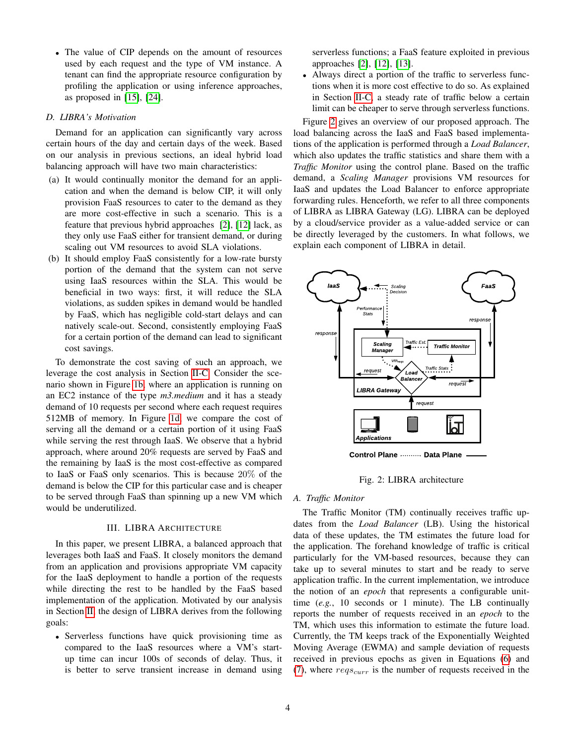• The value of CIP depends on the amount of resources used by each request and the type of VM instance. A tenant can find the appropriate resource configuration by profiling the application or using inference approaches, as proposed in [\[15\]](#page-10-8), [\[24\]](#page-10-16).

## *D. LIBRA's Motivation*

Demand for an application can significantly vary across certain hours of the day and certain days of the week. Based on our analysis in previous sections, an ideal hybrid load balancing approach will have two main characteristics:

- (a) It would continually monitor the demand for an application and when the demand is below CIP, it will only provision FaaS resources to cater to the demand as they are more cost-effective in such a scenario. This is a feature that previous hybrid approaches [\[2\]](#page-10-1), [\[12\]](#page-10-5) lack, as they only use FaaS either for transient demand, or during scaling out VM resources to avoid SLA violations.
- (b) It should employ FaaS consistently for a low-rate bursty portion of the demand that the system can not serve using IaaS resources within the SLA. This would be beneficial in two ways: first, it will reduce the SLA violations, as sudden spikes in demand would be handled by FaaS, which has negligible cold-start delays and can natively scale-out. Second, consistently employing FaaS for a certain portion of the demand can lead to significant cost savings.

To demonstrate the cost saving of such an approach, we leverage the cost analysis in Section [II-C.](#page-2-6) Consider the scenario shown in Figure [1b,](#page-2-4) where an application is running on an EC2 instance of the type *m3.medium* and it has a steady demand of 10 requests per second where each request requires 512MB of memory. In Figure [1d,](#page-2-7) we compare the cost of serving all the demand or a certain portion of it using FaaS while serving the rest through IaaS. We observe that a hybrid approach, where around 20% requests are served by FaaS and the remaining by IaaS is the most cost-effective as compared to IaaS or FaaS only scenarios. This is because 20% of the demand is below the CIP for this particular case and is cheaper to be served through FaaS than spinning up a new VM which would be underutilized.

## III. LIBRA ARCHITECTURE

<span id="page-3-0"></span>In this paper, we present LIBRA, a balanced approach that leverages both IaaS and FaaS. It closely monitors the demand from an application and provisions appropriate VM capacity for the IaaS deployment to handle a portion of the requests while directing the rest to be handled by the FaaS based implementation of the application. Motivated by our analysis in Section [II,](#page-1-1) the design of LIBRA derives from the following goals:

• Serverless functions have quick provisioning time as compared to the IaaS resources where a VM's startup time can incur 100s of seconds of delay. Thus, it is better to serve transient increase in demand using serverless functions; a FaaS feature exploited in previous approaches [\[2\]](#page-10-1), [\[12\]](#page-10-5), [\[13\]](#page-10-6).

• Always direct a portion of the traffic to serverless functions when it is more cost effective to do so. As explained in Section [II-C,](#page-2-6) a steady rate of traffic below a certain limit can be cheaper to serve through serverless functions.

Figure [2](#page-3-1) gives an overview of our proposed approach. The load balancing across the IaaS and FaaS based implementations of the application is performed through a *Load Balancer*, which also updates the traffic statistics and share them with a *Traffic Monitor* using the control plane. Based on the traffic demand, a *Scaling Manager* provisions VM resources for IaaS and updates the Load Balancer to enforce appropriate forwarding rules. Henceforth, we refer to all three components of LIBRA as LIBRA Gateway (LG). LIBRA can be deployed by a cloud/service provider as a value-added service or can be directly leveraged by the customers. In what follows, we explain each component of LIBRA in detail.

<span id="page-3-1"></span>

Fig. 2: LIBRA architecture

## *A. Traffic Monitor*

The Traffic Monitor (TM) continually receives traffic updates from the *Load Balancer* (LB). Using the historical data of these updates, the TM estimates the future load for the application. The forehand knowledge of traffic is critical particularly for the VM-based resources, because they can take up to several minutes to start and be ready to serve application traffic. In the current implementation, we introduce the notion of an *epoch* that represents a configurable unittime (*e.g.*, 10 seconds or 1 minute). The LB continually reports the number of requests received in an *epoch* to the TM, which uses this information to estimate the future load. Currently, the TM keeps track of the Exponentially Weighted Moving Average (EWMA) and sample deviation of requests received in previous epochs as given in Equations [\(6\)](#page-4-0) and [\(7\)](#page-4-1), where  $reg_{curr}$  is the number of requests received in the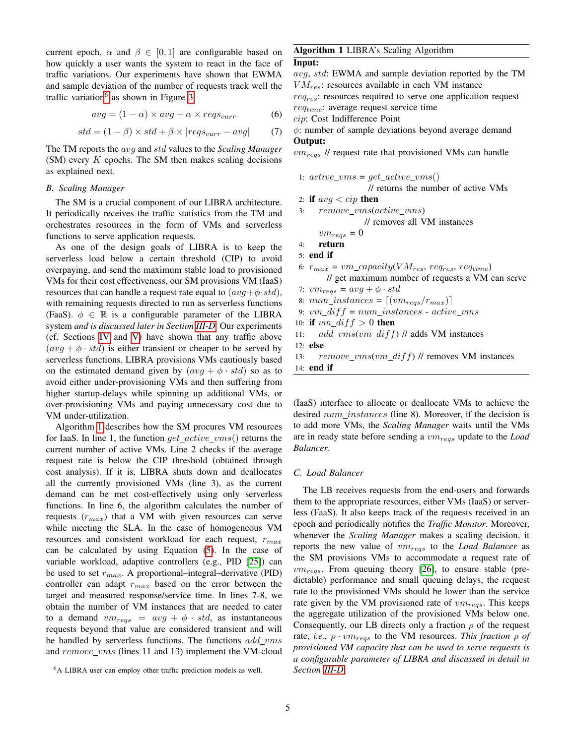current epoch,  $\alpha$  and  $\beta \in [0,1]$  are configurable based on how quickly a user wants the system to react in the face of traffic variations. Our experiments have shown that EWMA and sample deviation of the number of requests track well the traffic variation<sup>[6](#page-4-2)</sup> as shown in Figure [3.](#page-6-0)

<span id="page-4-0"></span>
$$
avg = (1 - \alpha) \times avg + \alpha \times regs_{curr}
$$
 (6)

<span id="page-4-1"></span>
$$
std = (1 - \beta) \times std + \beta \times |reqs_{curr} - avg|
$$
 (7)

The TM reports the avg and std values to the *Scaling Manager*  $(SM)$  every  $K$  epochs. The SM then makes scaling decisions as explained next.

## <span id="page-4-5"></span>*B. Scaling Manager*

The SM is a crucial component of our LIBRA architecture. It periodically receives the traffic statistics from the TM and orchestrates resources in the form of VMs and serverless functions to serve application requests.

As one of the design goals of LIBRA is to keep the serverless load below a certain threshold (CIP) to avoid overpaying, and send the maximum stable load to provisioned VMs for their cost effectiveness, our SM provisions VM (IaaS) resources that can handle a request rate equal to  $(avg + \phi \cdot std)$ , with remaining requests directed to run as serverless functions (FaaS).  $\phi \in \mathbb{R}$  is a configurable parameter of the LIBRA system *and is discussed later in Section [III-D.](#page-5-1)* Our experiments (cf. Sections [IV](#page-5-0) and [V\)](#page-8-0) have shown that any traffic above  $(avg + \phi \cdot std)$  is either transient or cheaper to be served by serverless functions. LIBRA provisions VMs cautiously based on the estimated demand given by  $(avg + \phi \cdot std)$  so as to avoid either under-provisioning VMs and then suffering from higher startup-delays while spinning up additional VMs, or over-provisioning VMs and paying unnecessary cost due to VM under-utilization.

Algorithm [1](#page-4-3) describes how the SM procures VM resources for IaaS. In line 1, the function  $get\_active\_vms()$  returns the current number of active VMs. Line 2 checks if the average request rate is below the CIP threshold (obtained through cost analysis). If it is, LIBRA shuts down and deallocates all the currently provisioned VMs (line 3), as the current demand can be met cost-effectively using only serverless functions. In line 6, the algorithm calculates the number of requests  $(r_{max})$  that a VM with given resources can serve while meeting the SLA. In the case of homogeneous VM resources and consistent workload for each request,  $r_{max}$ can be calculated by using Equation [\(5\)](#page-2-8). In the case of variable workload, adaptive controllers (e.g., PID [\[25\]](#page-10-17)) can be used to set  $r_{max}$ . A proportional–integral–derivative (PID) controller can adapt  $r_{max}$  based on the error between the target and measured response/service time. In lines 7-8, we obtain the number of VM instances that are needed to cater to a demand  $vm_{regs} = avg + \phi \cdot std$ , as instantaneous requests beyond that value are considered transient and will be handled by serverless functions. The functions  $add\_vms$ and  $remove\_vms$  (lines 11 and 13) implement the VM-cloud

## Algorithm 1 LIBRA's Scaling Algorithm

## Input:

avg, std: EWMA and sample deviation reported by the TM  $VM_{res}$ : resources available in each VM instance  $req_{res}$ : resources required to serve one application request

 $req_{time}$ : average request service time

cip: Cost Indifference Point

 $\phi$ : number of sample deviations beyond average demand Output:

 $vm_{regs}$  // request rate that provisioned VMs can handle

- 1:  $active\_vms = get\_active\_vms()$ // returns the number of active VMs 2: if  $avg < cip$  then
- $3:$   $remove\_vms(active\_vms)$

// removes all VM instances

```
vm_{regs} = 0
```

```
4: return
```

```
5: end if
```
- 6:  $r_{max} = \nu m_{\text{0}}\text{capacity}(VM_{res}, \text{req}_{res}, \text{req}_{time})$ // get maximum number of requests a VM can serve
- 7:  $vm_{regs} = avg + \phi \cdot std$

8:  $num\_instances = [(vm_{regs}/r_{max})]$ 

- 9:  $vm\_diff = num\_instances active\_vms$
- 10: if  $vm\_diff > 0$  then
- 11:  $add\_vms(vm\_diff)$  // adds VM instances

```
12: else
```
13: remove\_vms(vm\_dif f) // removes VM instances

<span id="page-4-3"></span>14: end if

(IaaS) interface to allocate or deallocate VMs to achieve the desired  $num\_instances$  (line 8). Moreover, if the decision is to add more VMs, the *Scaling Manager* waits until the VMs are in ready state before sending a  $vm_{regs}$  update to the *Load Balancer*.

#### <span id="page-4-4"></span>*C. Load Balancer*

The LB receives requests from the end-users and forwards them to the appropriate resources, either VMs (IaaS) or serverless (FaaS). It also keeps track of the requests received in an epoch and periodically notifies the *Traffic Monitor*. Moreover, whenever the *Scaling Manager* makes a scaling decision, it reports the new value of vmreqs to the *Load Balancer* as the SM provisions VMs to accommodate a request rate of  $vm_{reas}$ . From queuing theory [\[26\]](#page-10-18), to ensure stable (predictable) performance and small queuing delays, the request rate to the provisioned VMs should be lower than the service rate given by the VM provisioned rate of  $vm_{regs}$ . This keeps the aggregate utilization of the provisioned VMs below one. Consequently, our LB directs only a fraction  $\rho$  of the request rate, *i.e.*,  $\rho \cdot \textit{vm}_{reas}$  to the VM resources. *This fraction*  $\rho$  *of provisioned VM capacity that can be used to serve requests is a configurable parameter of LIBRA and discussed in detail in Section [III-D](#page-5-1)*.

<span id="page-4-2"></span><sup>&</sup>lt;sup>6</sup>A LIBRA user can employ other traffic prediction models as well.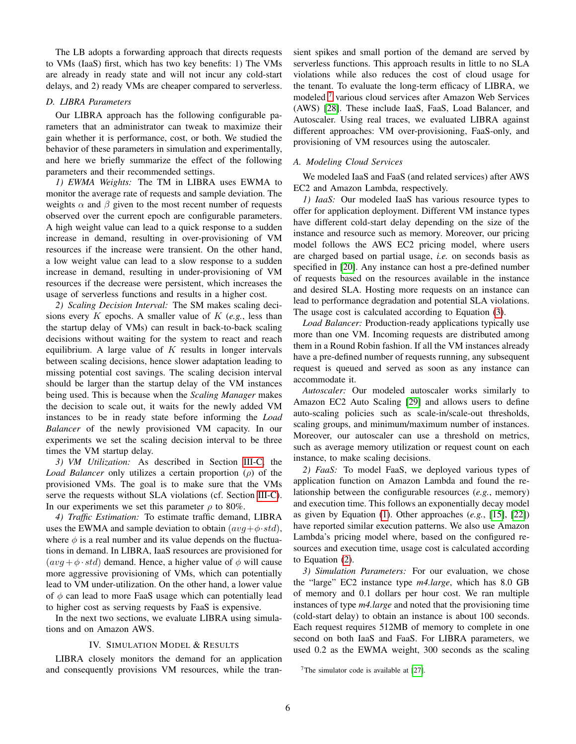The LB adopts a forwarding approach that directs requests to VMs (IaaS) first, which has two key benefits: 1) The VMs are already in ready state and will not incur any cold-start delays, and 2) ready VMs are cheaper compared to serverless.

## <span id="page-5-1"></span>*D. LIBRA Parameters*

Our LIBRA approach has the following configurable parameters that an administrator can tweak to maximize their gain whether it is performance, cost, or both. We studied the behavior of these parameters in simulation and experimentally, and here we briefly summarize the effect of the following parameters and their recommended settings.

*1) EWMA Weights:* The TM in LIBRA uses EWMA to monitor the average rate of requests and sample deviation. The weights  $\alpha$  and  $\beta$  given to the most recent number of requests observed over the current epoch are configurable parameters. A high weight value can lead to a quick response to a sudden increase in demand, resulting in over-provisioning of VM resources if the increase were transient. On the other hand, a low weight value can lead to a slow response to a sudden increase in demand, resulting in under-provisioning of VM resources if the decrease were persistent, which increases the usage of serverless functions and results in a higher cost.

*2) Scaling Decision Interval:* The SM makes scaling decisions every K epochs. A smaller value of K (*e.g.*, less than the startup delay of VMs) can result in back-to-back scaling decisions without waiting for the system to react and reach equilibrium. A large value of  $K$  results in longer intervals between scaling decisions, hence slower adaptation leading to missing potential cost savings. The scaling decision interval should be larger than the startup delay of the VM instances being used. This is because when the *Scaling Manager* makes the decision to scale out, it waits for the newly added VM instances to be in ready state before informing the *Load Balancer* of the newly provisioned VM capacity. In our experiments we set the scaling decision interval to be three times the VM startup delay.

<span id="page-5-3"></span>*3) VM Utilization:* As described in Section [III-C,](#page-4-4) the *Load Balancer* only utilizes a certain proportion (ρ) of the provisioned VMs. The goal is to make sure that the VMs serve the requests without SLA violations (cf. Section [III-C\)](#page-4-4). In our experiments we set this parameter  $\rho$  to 80%.

*4) Traffic Estimation:* To estimate traffic demand, LIBRA uses the EWMA and sample deviation to obtain  $(avg + \phi \cdot std)$ , where  $\phi$  is a real number and its value depends on the fluctuations in demand. In LIBRA, IaaS resources are provisioned for  $(avg + \phi \cdot std)$  demand. Hence, a higher value of  $\phi$  will cause more aggressive provisioning of VMs, which can potentially lead to VM under-utilization. On the other hand, a lower value of  $\phi$  can lead to more FaaS usage which can potentially lead to higher cost as serving requests by FaaS is expensive.

In the next two sections, we evaluate LIBRA using simulations and on Amazon AWS.

### IV. SIMULATION MODEL & RESULTS

<span id="page-5-0"></span>LIBRA closely monitors the demand for an application and consequently provisions VM resources, while the transient spikes and small portion of the demand are served by serverless functions. This approach results in little to no SLA violations while also reduces the cost of cloud usage for the tenant. To evaluate the long-term efficacy of LIBRA, we modeled<sup>[7](#page-5-2)</sup> various cloud services after Amazon Web Services (AWS) [\[28\]](#page-10-19). These include IaaS, FaaS, Load Balancer, and Autoscaler. Using real traces, we evaluated LIBRA against different approaches: VM over-provisioning, FaaS-only, and provisioning of VM resources using the autoscaler.

#### *A. Modeling Cloud Services*

We modeled IaaS and FaaS (and related services) after AWS EC2 and Amazon Lambda, respectively.

*1) IaaS:* Our modeled IaaS has various resource types to offer for application deployment. Different VM instance types have different cold-start delay depending on the size of the instance and resource such as memory. Moreover, our pricing model follows the AWS EC2 pricing model, where users are charged based on partial usage, *i.e.* on seconds basis as specified in [\[20\]](#page-10-15). Any instance can host a pre-defined number of requests based on the resources available in the instance and desired SLA. Hosting more requests on an instance can lead to performance degradation and potential SLA violations. The usage cost is calculated according to Equation [\(3\)](#page-2-2).

*Load Balancer:* Production-ready applications typically use more than one VM. Incoming requests are distributed among them in a Round Robin fashion. If all the VM instances already have a pre-defined number of requests running, any subsequent request is queued and served as soon as any instance can accommodate it.

*Autoscaler:* Our modeled autoscaler works similarly to Amazon EC2 Auto Scaling [\[29\]](#page-10-20) and allows users to define auto-scaling policies such as scale-in/scale-out thresholds, scaling groups, and minimum/maximum number of instances. Moreover, our autoscaler can use a threshold on metrics, such as average memory utilization or request count on each instance, to make scaling decisions.

*2) FaaS:* To model FaaS, we deployed various types of application function on Amazon Lambda and found the relationship between the configurable resources (*e.g.*, memory) and execution time. This follows an exponentially decay model as given by Equation [\(1\)](#page-1-4). Other approaches (*e.g.*, [\[15\]](#page-10-8), [\[22\]](#page-10-11)) have reported similar execution patterns. We also use Amazon Lambda's pricing model where, based on the configured resources and execution time, usage cost is calculated according to Equation [\(2\)](#page-1-3).

*3) Simulation Parameters:* For our evaluation, we chose the "large" EC2 instance type *m4.large*, which has 8.0 GB of memory and 0.1 dollars per hour cost. We ran multiple instances of type *m4.large* and noted that the provisioning time (cold-start delay) to obtain an instance is about 100 seconds. Each request requires 512MB of memory to complete in one second on both IaaS and FaaS. For LIBRA parameters, we used 0.2 as the EWMA weight, 300 seconds as the scaling

<span id="page-5-2"></span><sup>&</sup>lt;sup>7</sup>The simulator code is available at  $[27]$ .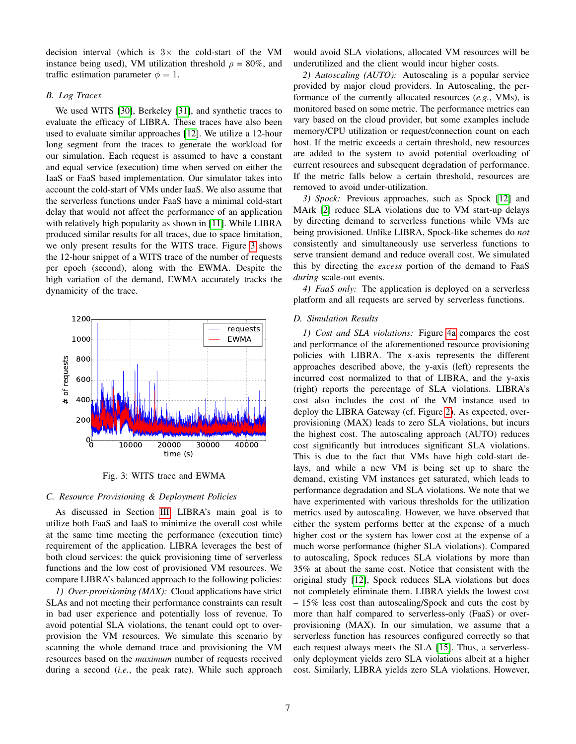decision interval (which is  $3 \times$  the cold-start of the VM instance being used), VM utilization threshold  $\rho = 80\%$ , and traffic estimation parameter  $\phi = 1$ .

#### *B. Log Traces*

We used WITS [\[30\]](#page-10-22), Berkeley [\[31\]](#page-10-23), and synthetic traces to evaluate the efficacy of LIBRA. These traces have also been used to evaluate similar approaches [\[12\]](#page-10-5). We utilize a 12-hour long segment from the traces to generate the workload for our simulation. Each request is assumed to have a constant and equal service (execution) time when served on either the IaaS or FaaS based implementation. Our simulator takes into account the cold-start of VMs under IaaS. We also assume that the serverless functions under FaaS have a minimal cold-start delay that would not affect the performance of an application with relatively high popularity as shown in [\[11\]](#page-10-4). While LIBRA produced similar results for all traces, due to space limitation, we only present results for the WITS trace. Figure [3](#page-6-0) shows the 12-hour snippet of a WITS trace of the number of requests per epoch (second), along with the EWMA. Despite the high variation of the demand, EWMA accurately tracks the dynamicity of the trace.

<span id="page-6-0"></span>

Fig. 3: WITS trace and EWMA

## <span id="page-6-1"></span>*C. Resource Provisioning & Deployment Policies*

As discussed in Section [III,](#page-3-0) LIBRA's main goal is to utilize both FaaS and IaaS to minimize the overall cost while at the same time meeting the performance (execution time) requirement of the application. LIBRA leverages the best of both cloud services: the quick provisioning time of serverless functions and the low cost of provisioned VM resources. We compare LIBRA's balanced approach to the following policies:

*1) Over-provisioning (MAX):* Cloud applications have strict SLAs and not meeting their performance constraints can result in bad user experience and potentially loss of revenue. To avoid potential SLA violations, the tenant could opt to overprovision the VM resources. We simulate this scenario by scanning the whole demand trace and provisioning the VM resources based on the *maximum* number of requests received during a second (*i.e.*, the peak rate). While such approach

would avoid SLA violations, allocated VM resources will be underutilized and the client would incur higher costs.

*2) Autoscaling (AUTO):* Autoscaling is a popular service provided by major cloud providers. In Autoscaling, the performance of the currently allocated resources (*e.g.*, VMs), is monitored based on some metric. The performance metrics can vary based on the cloud provider, but some examples include memory/CPU utilization or request/connection count on each host. If the metric exceeds a certain threshold, new resources are added to the system to avoid potential overloading of current resources and subsequent degradation of performance. If the metric falls below a certain threshold, resources are removed to avoid under-utilization.

*3) Spock:* Previous approaches, such as Spock [\[12\]](#page-10-5) and MArk [\[2\]](#page-10-1) reduce SLA violations due to VM start-up delays by directing demand to serverless functions while VMs are being provisioned. Unlike LIBRA, Spock-like schemes do *not* consistently and simultaneously use serverless functions to serve transient demand and reduce overall cost. We simulated this by directing the *excess* portion of the demand to FaaS *during* scale-out events.

*4) FaaS only:* The application is deployed on a serverless platform and all requests are served by serverless functions.

#### *D. Simulation Results*

*1) Cost and SLA violations:* Figure [4a](#page-7-0) compares the cost and performance of the aforementioned resource provisioning policies with LIBRA. The x-axis represents the different approaches described above, the y-axis (left) represents the incurred cost normalized to that of LIBRA, and the y-axis (right) reports the percentage of SLA violations. LIBRA's cost also includes the cost of the VM instance used to deploy the LIBRA Gateway (cf. Figure [2\)](#page-3-1). As expected, overprovisioning (MAX) leads to zero SLA violations, but incurs the highest cost. The autoscaling approach (AUTO) reduces cost significantly but introduces significant SLA violations. This is due to the fact that VMs have high cold-start delays, and while a new VM is being set up to share the demand, existing VM instances get saturated, which leads to performance degradation and SLA violations. We note that we have experimented with various thresholds for the utilization metrics used by autoscaling. However, we have observed that either the system performs better at the expense of a much higher cost or the system has lower cost at the expense of a much worse performance (higher SLA violations). Compared to autoscaling, Spock reduces SLA violations by more than 35% at about the same cost. Notice that consistent with the original study [\[12\]](#page-10-5), Spock reduces SLA violations but does not completely eliminate them. LIBRA yields the lowest cost – 15% less cost than autoscaling/Spock and cuts the cost by more than half compared to serverless-only (FaaS) or overprovisioning (MAX). In our simulation, we assume that a serverless function has resources configured correctly so that each request always meets the SLA [\[15\]](#page-10-8). Thus, a serverlessonly deployment yields zero SLA violations albeit at a higher cost. Similarly, LIBRA yields zero SLA violations. However,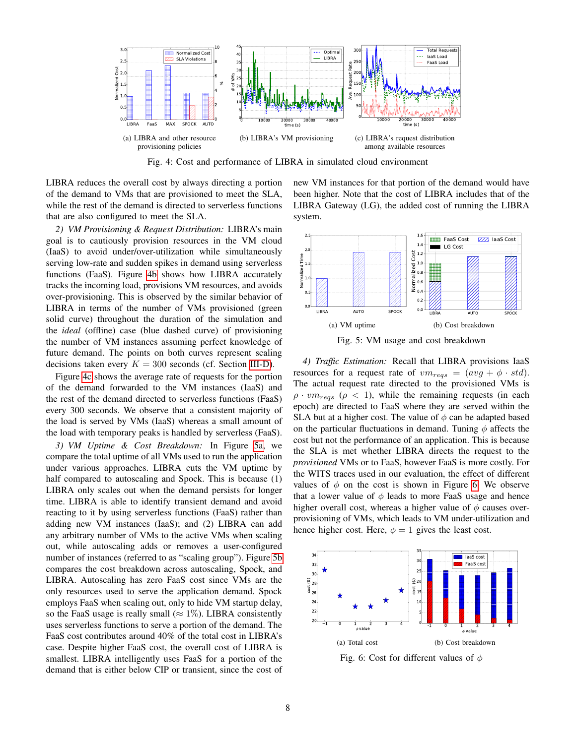<span id="page-7-0"></span>

Fig. 4: Cost and performance of LIBRA in simulated cloud environment

LIBRA reduces the overall cost by always directing a portion of the demand to VMs that are provisioned to meet the SLA, while the rest of the demand is directed to serverless functions that are also configured to meet the SLA.

*2) VM Provisioning & Request Distribution:* LIBRA's main goal is to cautiously provision resources in the VM cloud (IaaS) to avoid under/over-utilization while simultaneously serving low-rate and sudden spikes in demand using serverless functions (FaaS). Figure [4b](#page-7-1) shows how LIBRA accurately tracks the incoming load, provisions VM resources, and avoids over-provisioning. This is observed by the similar behavior of LIBRA in terms of the number of VMs provisioned (green solid curve) throughout the duration of the simulation and the *ideal* (offline) case (blue dashed curve) of provisioning the number of VM instances assuming perfect knowledge of future demand. The points on both curves represent scaling decisions taken every  $K = 300$  seconds (cf. Section [III-D\)](#page-5-1).

Figure [4c](#page-7-2) shows the average rate of requests for the portion of the demand forwarded to the VM instances (IaaS) and the rest of the demand directed to serverless functions (FaaS) every 300 seconds. We observe that a consistent majority of the load is served by VMs (IaaS) whereas a small amount of the load with temporary peaks is handled by serverless (FaaS).

*3) VM Uptime & Cost Breakdown:* In Figure [5a,](#page-7-3) we compare the total uptime of all VMs used to run the application under various approaches. LIBRA cuts the VM uptime by half compared to autoscaling and Spock. This is because (1) LIBRA only scales out when the demand persists for longer time. LIBRA is able to identify transient demand and avoid reacting to it by using serverless functions (FaaS) rather than adding new VM instances (IaaS); and (2) LIBRA can add any arbitrary number of VMs to the active VMs when scaling out, while autoscaling adds or removes a user-configured number of instances (referred to as "scaling group"). Figure [5b](#page-7-4) compares the cost breakdown across autoscaling, Spock, and LIBRA. Autoscaling has zero FaaS cost since VMs are the only resources used to serve the application demand. Spock employs FaaS when scaling out, only to hide VM startup delay, so the FaaS usage is really small ( $\approx 1\%$ ). LIBRA consistently uses serverless functions to serve a portion of the demand. The FaaS cost contributes around 40% of the total cost in LIBRA's case. Despite higher FaaS cost, the overall cost of LIBRA is smallest. LIBRA intelligently uses FaaS for a portion of the demand that is either below CIP or transient, since the cost of <span id="page-7-2"></span><span id="page-7-1"></span>new VM instances for that portion of the demand would have been higher. Note that the cost of LIBRA includes that of the LIBRA Gateway (LG), the added cost of running the LIBRA system.



<span id="page-7-4"></span><span id="page-7-3"></span>Fig. 5: VM usage and cost breakdown

*4) Traffic Estimation:* Recall that LIBRA provisions IaaS resources for a request rate of  $vm_{regs} = (avg + \phi \cdot std)$ . The actual request rate directed to the provisioned VMs is  $\rho \cdot v m_{reas}$  ( $\rho < 1$ ), while the remaining requests (in each epoch) are directed to FaaS where they are served within the SLA but at a higher cost. The value of  $\phi$  can be adapted based on the particular fluctuations in demand. Tuning  $\phi$  affects the cost but not the performance of an application. This is because the SLA is met whether LIBRA directs the request to the *provisioned* VMs or to FaaS, however FaaS is more costly. For the WITS traces used in our evaluation, the effect of different values of  $\phi$  on the cost is shown in Figure [6.](#page-7-5) We observe that a lower value of  $\phi$  leads to more FaaS usage and hence higher overall cost, whereas a higher value of  $\phi$  causes overprovisioning of VMs, which leads to VM under-utilization and hence higher cost. Here,  $\phi = 1$  gives the least cost.

<span id="page-7-5"></span>

Fig. 6: Cost for different values of  $\phi$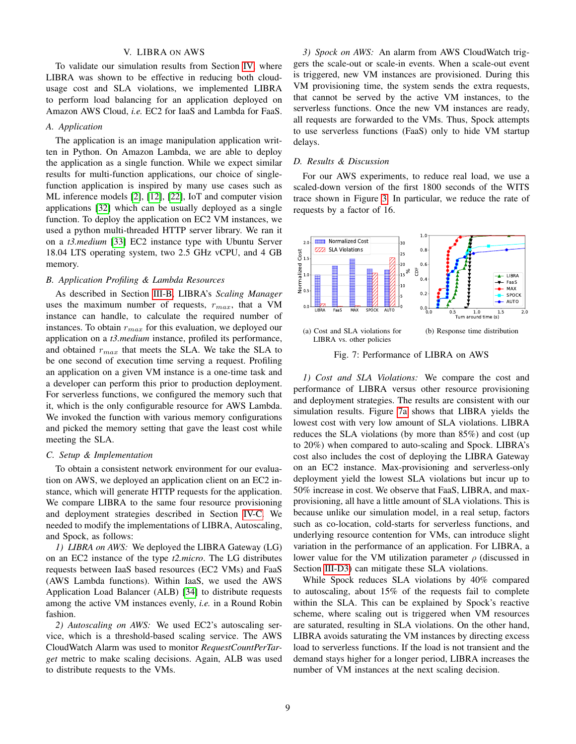## V. LIBRA ON AWS

<span id="page-8-0"></span>To validate our simulation results from Section [IV,](#page-5-0) where LIBRA was shown to be effective in reducing both cloudusage cost and SLA violations, we implemented LIBRA to perform load balancing for an application deployed on Amazon AWS Cloud, *i.e.* EC2 for IaaS and Lambda for FaaS.

#### *A. Application*

The application is an image manipulation application written in Python. On Amazon Lambda, we are able to deploy the application as a single function. While we expect similar results for multi-function applications, our choice of singlefunction application is inspired by many use cases such as ML inference models [\[2\]](#page-10-1), [\[12\]](#page-10-5), [\[22\]](#page-10-11), IoT and computer vision applications [\[32\]](#page-10-24) which can be usually deployed as a single function. To deploy the application on EC2 VM instances, we used a python multi-threaded HTTP server library. We ran it on a *t3.medium* [\[33\]](#page-10-25) EC2 instance type with Ubuntu Server 18.04 LTS operating system, two 2.5 GHz vCPU, and 4 GB memory.

#### *B. Application Profiling & Lambda Resources*

As described in Section [III-B,](#page-4-5) LIBRA's *Scaling Manager* uses the maximum number of requests,  $r_{max}$ , that a VM instance can handle, to calculate the required number of instances. To obtain  $r_{max}$  for this evaluation, we deployed our application on a *t3.medium* instance, profiled its performance, and obtained  $r_{max}$  that meets the SLA. We take the SLA to be one second of execution time serving a request. Profiling an application on a given VM instance is a one-time task and a developer can perform this prior to production deployment. For serverless functions, we configured the memory such that it, which is the only configurable resource for AWS Lambda. We invoked the function with various memory configurations and picked the memory setting that gave the least cost while meeting the SLA.

#### *C. Setup & Implementation*

To obtain a consistent network environment for our evaluation on AWS, we deployed an application client on an EC2 instance, which will generate HTTP requests for the application. We compare LIBRA to the same four resource provisioning and deployment strategies described in Section [IV-C.](#page-6-1) We needed to modify the implementations of LIBRA, Autoscaling, and Spock, as follows:

*1) LIBRA on AWS:* We deployed the LIBRA Gateway (LG) on an EC2 instance of the type *t2.micro*. The LG distributes requests between IaaS based resources (EC2 VMs) and FaaS (AWS Lambda functions). Within IaaS, we used the AWS Application Load Balancer (ALB) [\[34\]](#page-10-26) to distribute requests among the active VM instances evenly, *i.e.* in a Round Robin fashion.

*2) Autoscaling on AWS:* We used EC2's autoscaling service, which is a threshold-based scaling service. The AWS CloudWatch Alarm was used to monitor *RequestCountPerTarget* metric to make scaling decisions. Again, ALB was used to distribute requests to the VMs.

*3) Spock on AWS:* An alarm from AWS CloudWatch triggers the scale-out or scale-in events. When a scale-out event is triggered, new VM instances are provisioned. During this VM provisioning time, the system sends the extra requests, that cannot be served by the active VM instances, to the serverless functions. Once the new VM instances are ready, all requests are forwarded to the VMs. Thus, Spock attempts to use serverless functions (FaaS) only to hide VM startup delays.

## *D. Results & Discussion*

For our AWS experiments, to reduce real load, we use a scaled-down version of the first 1800 seconds of the WITS trace shown in Figure [3.](#page-6-0) In particular, we reduce the rate of requests by a factor of 16.

<span id="page-8-1"></span>

<span id="page-8-2"></span>Fig. 7: Performance of LIBRA on AWS

*1) Cost and SLA Violations:* We compare the cost and performance of LIBRA versus other resource provisioning and deployment strategies. The results are consistent with our simulation results. Figure [7a](#page-8-1) shows that LIBRA yields the lowest cost with very low amount of SLA violations. LIBRA reduces the SLA violations (by more than 85%) and cost (up to 20%) when compared to auto-scaling and Spock. LIBRA's cost also includes the cost of deploying the LIBRA Gateway on an EC2 instance. Max-provisioning and serverless-only deployment yield the lowest SLA violations but incur up to 50% increase in cost. We observe that FaaS, LIBRA, and maxprovisioning, all have a little amount of SLA violations. This is because unlike our simulation model, in a real setup, factors such as co-location, cold-starts for serverless functions, and underlying resource contention for VMs, can introduce slight variation in the performance of an application. For LIBRA, a lower value for the VM utilization parameter  $\rho$  (discussed in Section [III-D3\)](#page-5-3) can mitigate these SLA violations.

While Spock reduces SLA violations by 40% compared to autoscaling, about 15% of the requests fail to complete within the SLA. This can be explained by Spock's reactive scheme, where scaling out is triggered when VM resources are saturated, resulting in SLA violations. On the other hand, LIBRA avoids saturating the VM instances by directing excess load to serverless functions. If the load is not transient and the demand stays higher for a longer period, LIBRA increases the number of VM instances at the next scaling decision.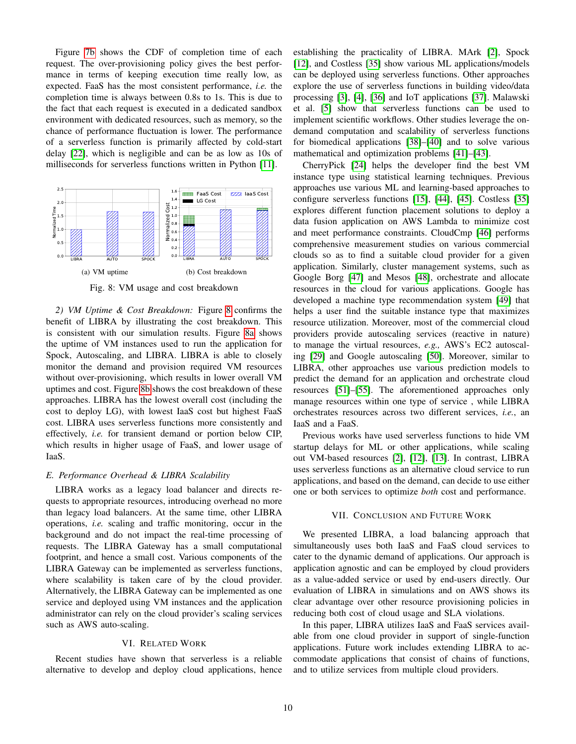Figure [7b](#page-8-2) shows the CDF of completion time of each request. The over-provisioning policy gives the best performance in terms of keeping execution time really low, as expected. FaaS has the most consistent performance, *i.e.* the completion time is always between 0.8s to 1s. This is due to the fact that each request is executed in a dedicated sandbox environment with dedicated resources, such as memory, so the chance of performance fluctuation is lower. The performance of a serverless function is primarily affected by cold-start delay [\[22\]](#page-10-11), which is negligible and can be as low as 10s of milliseconds for serverless functions written in Python [\[11\]](#page-10-4).

<span id="page-9-2"></span>

<span id="page-9-4"></span><span id="page-9-3"></span>Fig. 8: VM usage and cost breakdown

*2) VM Uptime & Cost Breakdown:* Figure [8](#page-9-2) confirms the benefit of LIBRA by illustrating the cost breakdown. This is consistent with our simulation results. Figure [8a](#page-9-3) shows the uptime of VM instances used to run the application for Spock, Autoscaling, and LIBRA. LIBRA is able to closely monitor the demand and provision required VM resources without over-provisioning, which results in lower overall VM uptimes and cost. Figure [8b](#page-9-4) shows the cost breakdown of these approaches. LIBRA has the lowest overall cost (including the cost to deploy LG), with lowest IaaS cost but highest FaaS cost. LIBRA uses serverless functions more consistently and effectively, *i.e.* for transient demand or portion below CIP, which results in higher usage of FaaS, and lower usage of IaaS.

## *E. Performance Overhead & LIBRA Scalability*

LIBRA works as a legacy load balancer and directs requests to appropriate resources, introducing overhead no more than legacy load balancers. At the same time, other LIBRA operations, *i.e.* scaling and traffic monitoring, occur in the background and do not impact the real-time processing of requests. The LIBRA Gateway has a small computational footprint, and hence a small cost. Various components of the LIBRA Gateway can be implemented as serverless functions, where scalability is taken care of by the cloud provider. Alternatively, the LIBRA Gateway can be implemented as one service and deployed using VM instances and the application administrator can rely on the cloud provider's scaling services such as AWS auto-scaling.

#### VI. RELATED WORK

<span id="page-9-0"></span>Recent studies have shown that serverless is a reliable alternative to develop and deploy cloud applications, hence establishing the practicality of LIBRA. MArk [\[2\]](#page-10-1), Spock [\[12\]](#page-10-5), and Costless [\[35\]](#page-10-27) show various ML applications/models can be deployed using serverless functions. Other approaches explore the use of serverless functions in building video/data processing [\[3\]](#page-10-28), [\[4\]](#page-10-29), [\[36\]](#page-10-30) and IoT applications [\[37\]](#page-10-31). Malawski et al. [\[5\]](#page-10-32) show that serverless functions can be used to implement scientific workflows. Other studies leverage the ondemand computation and scalability of serverless functions for biomedical applications [\[38\]](#page-10-33)–[\[40\]](#page-10-34) and to solve various mathematical and optimization problems [\[41\]](#page-10-35)–[\[43\]](#page-10-36).

CherryPick [\[24\]](#page-10-16) helps the developer find the best VM instance type using statistical learning techniques. Previous approaches use various ML and learning-based approaches to configure serverless functions [\[15\]](#page-10-8), [\[44\]](#page-10-37), [\[45\]](#page-10-38). Costless [\[35\]](#page-10-27) explores different function placement solutions to deploy a data fusion application on AWS Lambda to minimize cost and meet performance constraints. CloudCmp [\[46\]](#page-10-39) performs comprehensive measurement studies on various commercial clouds so as to find a suitable cloud provider for a given application. Similarly, cluster management systems, such as Google Borg [\[47\]](#page-10-40) and Mesos [\[48\]](#page-10-41), orchestrate and allocate resources in the cloud for various applications. Google has developed a machine type recommendation system [\[49\]](#page-10-42) that helps a user find the suitable instance type that maximizes resource utilization. Moreover, most of the commercial cloud providers provide autoscaling services (reactive in nature) to manage the virtual resources, *e.g.,* AWS's EC2 autoscaling [\[29\]](#page-10-20) and Google autoscaling [\[50\]](#page-10-43). Moreover, similar to LIBRA, other approaches use various prediction models to predict the demand for an application and orchestrate cloud resources [\[51\]](#page-10-44)–[\[55\]](#page-10-45). The aforementioned approaches only manage resources within one type of service , while LIBRA orchestrates resources across two different services, *i.e.*, an IaaS and a FaaS.

Previous works have used serverless functions to hide VM startup delays for ML or other applications, while scaling out VM-based resources [\[2\]](#page-10-1), [\[12\]](#page-10-5), [\[13\]](#page-10-6). In contrast, LIBRA uses serverless functions as an alternative cloud service to run applications, and based on the demand, can decide to use either one or both services to optimize *both* cost and performance.

#### VII. CONCLUSION AND FUTURE WORK

<span id="page-9-1"></span>We presented LIBRA, a load balancing approach that simultaneously uses both IaaS and FaaS cloud services to cater to the dynamic demand of applications. Our approach is application agnostic and can be employed by cloud providers as a value-added service or used by end-users directly. Our evaluation of LIBRA in simulations and on AWS shows its clear advantage over other resource provisioning policies in reducing both cost of cloud usage and SLA violations.

In this paper, LIBRA utilizes IaaS and FaaS services available from one cloud provider in support of single-function applications. Future work includes extending LIBRA to accommodate applications that consist of chains of functions, and to utilize services from multiple cloud providers.